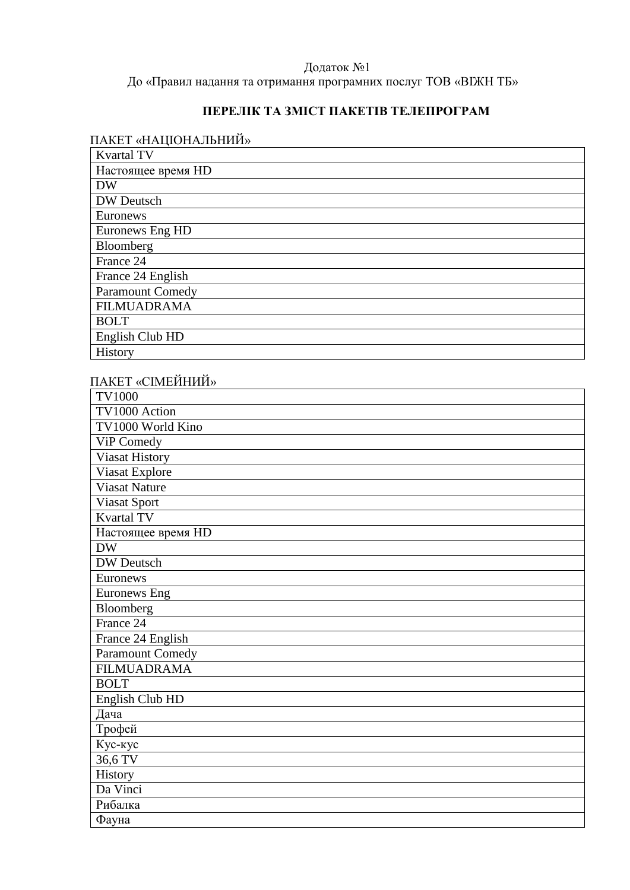### Додаток №1 До «Правил надання та отримання програмних послуг ТОВ «ВІЖН ТБ»

## **ПЕРЕЛІК ТА ЗМІСТ ПАКЕТІВ ТЕЛЕПРОГРАМ**

# ПАКЕТ «НАЦІОНАЛЬНИЙ»

| <b>Kvartal TV</b>       |
|-------------------------|
| Настоящее время HD      |
| <b>DW</b>               |
| DW Deutsch              |
| Euronews                |
| Euronews Eng HD         |
| Bloomberg               |
| France 24               |
| France 24 English       |
| <b>Paramount Comedy</b> |
| <b>FILMUADRAMA</b>      |
| <b>BOLT</b>             |
| English Club HD         |
| History                 |

# ПАКЕТ «СІМЕЙНИЙ»

| <b>TV1000</b>           |
|-------------------------|
| TV1000 Action           |
| TV1000 World Kino       |
| ViP Comedy              |
| <b>Viasat History</b>   |
| Viasat Explore          |
| <b>Viasat Nature</b>    |
| Viasat Sport            |
| <b>Kvartal TV</b>       |
| Настоящее время HD      |
| <b>DW</b>               |
| DW Deutsch              |
| Euronews                |
| <b>Euronews Eng</b>     |
| Bloomberg               |
| France 24               |
| France 24 English       |
| <b>Paramount Comedy</b> |
| <b>FILMUADRAMA</b>      |
| <b>BOLT</b>             |
| English Club HD         |
| Дача                    |
| Трофей                  |
| Кус-кус                 |
| 36,6 TV                 |
| History                 |
| Da Vinci                |
| Рибалка                 |
| Фауна                   |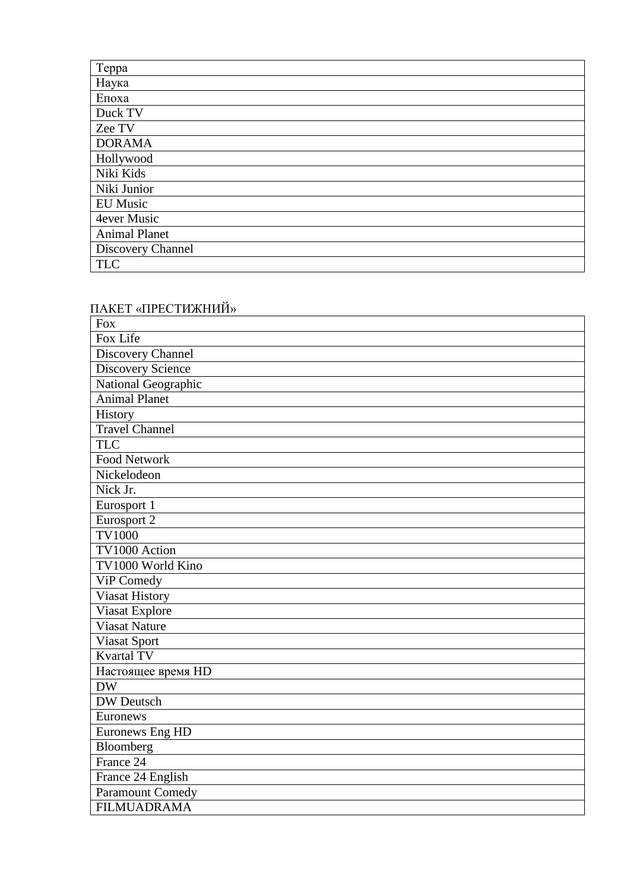| Teppa                |
|----------------------|
| Наука                |
| Епоха                |
| Duck TV              |
| Zee TV               |
| <b>DORAMA</b>        |
| Hollywood            |
| Niki Kids            |
| Niki Junior          |
| <b>EU Music</b>      |
| 4ever Music          |
| <b>Animal Planet</b> |
| Discovery Channel    |
| <b>TLC</b>           |

# ПАКЕТ «ПРЕСТИЖНИЙ»

| <b>Fox</b>               |
|--------------------------|
| Fox Life                 |
| Discovery Channel        |
| <b>Discovery Science</b> |
| National Geographic      |
| <b>Animal Planet</b>     |
| History                  |
| Travel Channel           |
| <b>TLC</b>               |
| <b>Food Network</b>      |
| Nickelodeon              |
| Nick Jr.                 |
| Eurosport 1              |
| Eurosport 2              |
| <b>TV1000</b>            |
| TV1000 Action            |
| TV1000 World Kino        |
| ViP Comedy               |
| Viasat History           |
| <b>Viasat Explore</b>    |
| <b>Viasat Nature</b>     |
| <b>Viasat Sport</b>      |
| <b>Kvartal TV</b>        |
| Настоящее время HD       |
| <b>DW</b>                |
| <b>DW</b> Deutsch        |
| Euronews                 |
| Euronews Eng HD          |
| Bloomberg                |
| France 24                |
| France 24 English        |
| Paramount Comedy         |
| <b>FILMUADRAMA</b>       |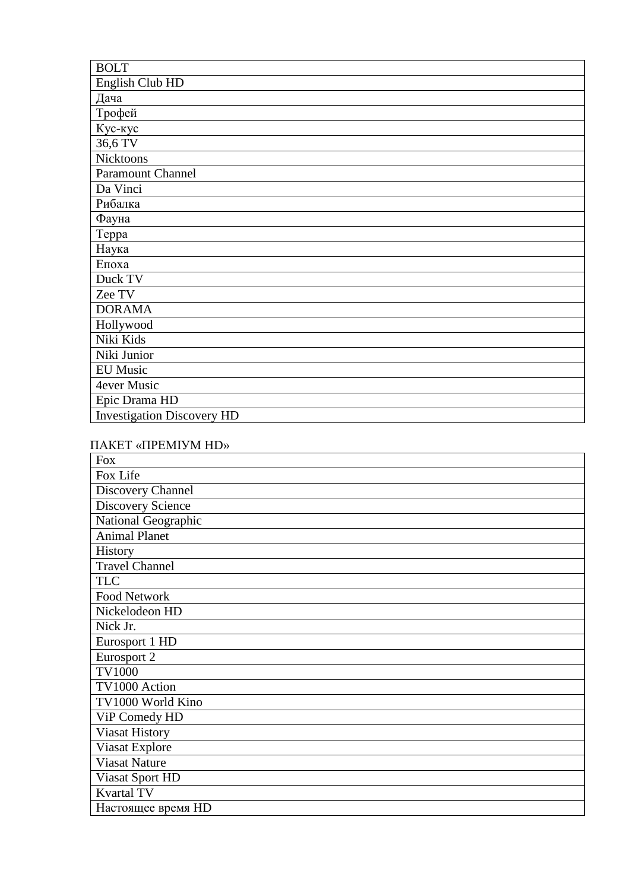| <b>BOLT</b>                       |
|-----------------------------------|
| English Club HD                   |
| Дача                              |
| Трофей                            |
| Кус-кус                           |
| 36,6 TV                           |
| Nicktoons                         |
| <b>Paramount Channel</b>          |
| Da Vinci                          |
| Рибалка                           |
| Фауна                             |
| Teppa                             |
| Наука                             |
| Епоха                             |
| Duck TV                           |
| Zee TV                            |
| <b>DORAMA</b>                     |
| Hollywood                         |
| Niki Kids                         |
| Niki Junior                       |
| <b>EU</b> Music                   |
| 4ever Music                       |
| Epic Drama HD                     |
| <b>Investigation Discovery HD</b> |

### ПАКЕТ «ПРЕМІУМ HD»

| <b>Fox</b>               |
|--------------------------|
| Fox Life                 |
| Discovery Channel        |
| <b>Discovery Science</b> |
| National Geographic      |
| <b>Animal Planet</b>     |
| History                  |
| <b>Travel Channel</b>    |
| <b>TLC</b>               |
| Food Network             |
| Nickelodeon HD           |
| Nick Jr.                 |
| Eurosport 1 HD           |
| Eurosport 2              |
| <b>TV1000</b>            |
| TV1000 Action            |
| TV1000 World Kino        |
| ViP Comedy HD            |
| <b>Viasat History</b>    |
| Viasat Explore           |
| <b>Viasat Nature</b>     |
| Viasat Sport HD          |
| <b>Kvartal TV</b>        |
| Настоящее время HD       |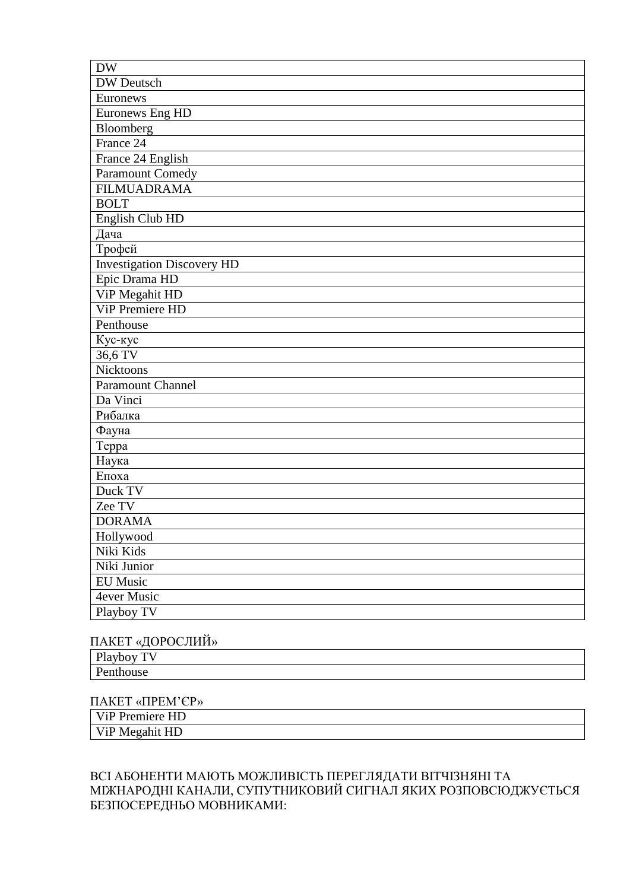| <b>DW</b>                         |
|-----------------------------------|
| DW Deutsch                        |
| Euronews                          |
| Euronews Eng HD                   |
| Bloomberg                         |
| France 24                         |
| France 24 English                 |
| <b>Paramount Comedy</b>           |
| <b>FILMUADRAMA</b>                |
| <b>BOLT</b>                       |
| English Club HD                   |
| Дача                              |
| Трофей                            |
| <b>Investigation Discovery HD</b> |
| Epic Drama HD                     |
| ViP Megahit HD                    |
| <b>ViP Premiere HD</b>            |
| Penthouse                         |
| Кус-кус                           |
| 36,6 TV                           |
| <b>Nicktoons</b>                  |
| <b>Paramount Channel</b>          |
| Da Vinci                          |
| Рибалка                           |
| Фауна                             |
| Teppa                             |
| Наука                             |
| Епоха                             |
| Duck TV                           |
| Zee TV                            |
| <b>DORAMA</b>                     |
| Hollywood                         |
| Niki Kids                         |
| Niki Junior                       |
| EU Music                          |
| 4ever Music                       |
| Playboy TV                        |

#### ПАКЕТ «ДОРОСЛИЙ»

| $\mathbf{L}$<br>$T^*$<br>--<br>--<br><u>.</u> |
|-----------------------------------------------|
| Ð<br>$\mathcal{L}$<br>                        |

ПАКЕТ «ПРЕМ'ЄР»

| -<br>HL.<br>.<br><u>—</u>                      |  |
|------------------------------------------------|--|
| V <sub>1</sub> P Me<br>$\sim$<br>$\sim$ $\sim$ |  |

#### ВСІ АБОНЕНТИ МАЮТЬ МОЖЛИВІСТЬ ПЕРЕГЛЯДАТИ ВІТЧІЗНЯНІ ТА МІЖНАРОДНІ КАНАЛИ, СУПУТНИКОВИЙ СИГНАЛ ЯКИХ РОЗПОВСЮДЖУЄТЬСЯ БЕЗПОСЕРЕДНЬО МОВНИКАМИ: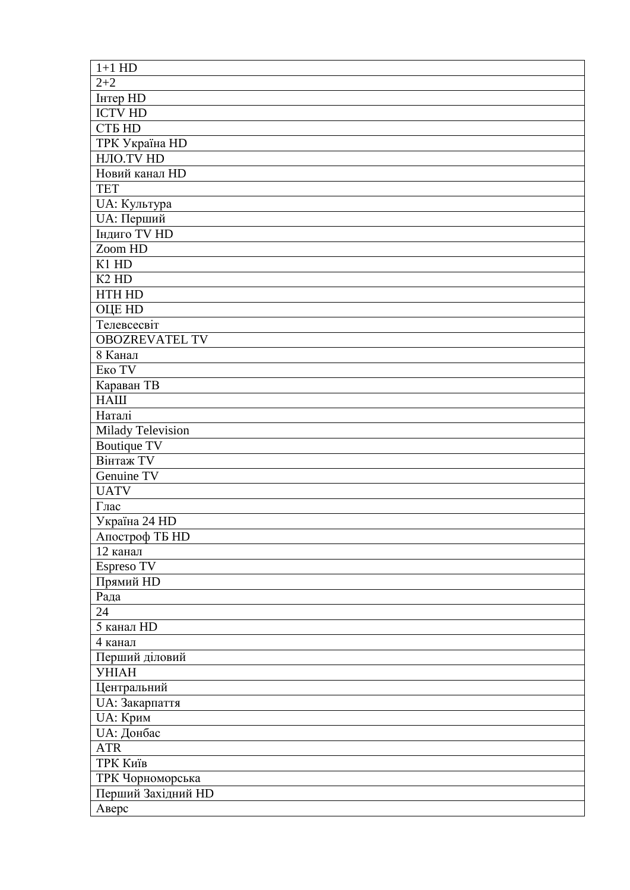| $1+1$ HD                      |
|-------------------------------|
| $2 + 2$                       |
| Інтер HD                      |
| <b>ICTV HD</b>                |
| <b>CTE HD</b>                 |
| <b>TPK Україна HD</b>         |
| НЛО.TV HD                     |
| Новий канал HD                |
| <b>TET</b>                    |
| UA: Культура                  |
| UA: Перший                    |
| <b>Індиго TV HD</b>           |
| Zoom HD                       |
| K1 HD                         |
| K <sub>2</sub> H <sub>D</sub> |
| <b>HTH HD</b>                 |
| <b>OLIE HD</b>                |
| Телевсесвіт                   |
| <b>OBOZREVATEL TV</b>         |
| 8 Канал                       |
| Еко TV                        |
|                               |
| Караван ТВ                    |
| <b>HALI</b>                   |
| Наталі                        |
| Milady Television             |
| <b>Boutique TV</b>            |
| <b>Вінтаж TV</b>              |
| Genuine TV                    |
| <b>UATV</b>                   |
| Глас                          |
| Україна 24 HD                 |
| Апостроф ТБ HD                |
| 12 канал                      |
| Espreso TV                    |
| Прямий HD                     |
| Рада                          |
| 24                            |
| 5 канал HD                    |
| 4 канал                       |
| Перший діловий                |
| <b>YHIAH</b>                  |
| Центральний                   |
| UA: Закарпаття                |
| UA: Крим                      |
| <b>UA</b> : Донбас            |
| <b>ATR</b>                    |
| ТРК Київ                      |
| ТРК Чорноморська              |
| Перший Західний HD            |
| Аверс                         |